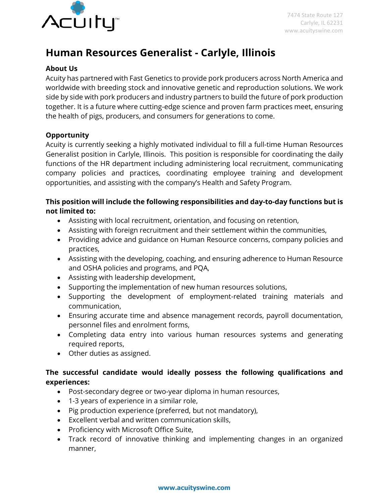

# **Human Resources Generalist - Carlyle, Illinois**

## **About Us**

Acuity has partnered with Fast Genetics to provide pork producers across North America and worldwide with breeding stock and innovative genetic and reproduction solutions. We work side by side with pork producers and industry partners to build the future of pork production together. It is a future where cutting-edge science and proven farm practices meet, ensuring the health of pigs, producers, and consumers for generations to come.

### **Opportunity**

Acuity is currently seeking a highly motivated individual to fill a full-time Human Resources Generalist position in Carlyle, Illinois. This position is responsible for coordinating the daily functions of the HR department including administering local recruitment, communicating company policies and practices, coordinating employee training and development opportunities, and assisting with the company's Health and Safety Program.

# **This position will include the following responsibilities and day-to-day functions but is not limited to:**

- Assisting with local recruitment, orientation, and focusing on retention,
- Assisting with foreign recruitment and their settlement within the communities,
- Providing advice and guidance on Human Resource concerns, company policies and practices,
- Assisting with the developing, coaching, and ensuring adherence to Human Resource and OSHA policies and programs, and PQA,
- Assisting with leadership development,
- Supporting the implementation of new human resources solutions,
- Supporting the development of employment-related training materials and communication,
- Ensuring accurate time and absence management records, payroll documentation, personnel files and enrolment forms,
- Completing data entry into various human resources systems and generating required reports,
- Other duties as assigned.

# **The successful candidate would ideally possess the following qualifications and experiences:**

- Post-secondary degree or two-year diploma in human resources,
- 1-3 years of experience in a similar role,
- Pig production experience (preferred, but not mandatory),
- Excellent verbal and written communication skills,
- Proficiency with Microsoft Office Suite,
- Track record of innovative thinking and implementing changes in an organized manner,

#### **www.acuityswine.com**